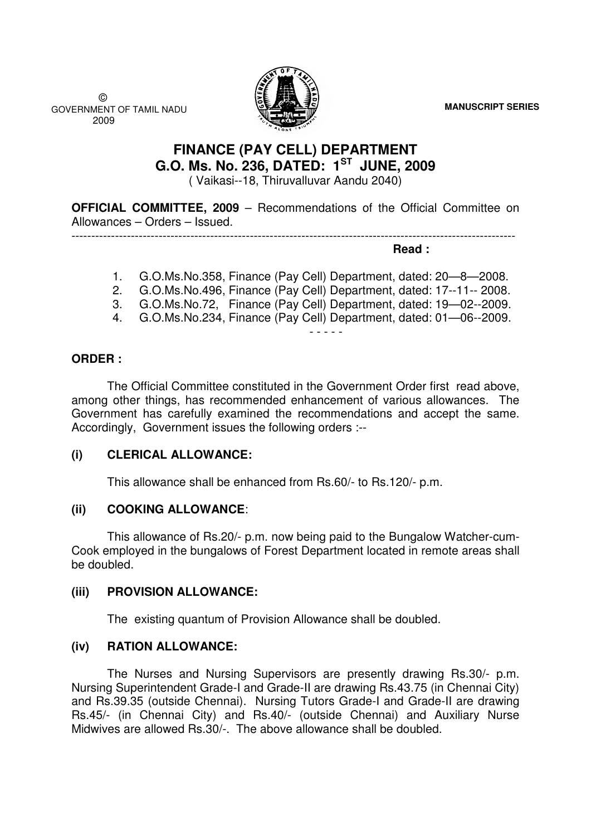**MANUSCRIPT SERIES**

 © GOVERNMENT OF TAMIL NADU 2009



# **FINANCE (PAY CELL) DEPARTMENT G.O. Ms. No. 236, DATED: 1ST JUNE, 2009**  ( Vaikasi--18, Thiruvalluvar Aandu 2040)

**OFFICIAL COMMITTEE, 2009** – Recommendations of the Official Committee on Allowances – Orders – Issued.

----------------------------------------------------------------------------------------------------------------

**Read :** 

- 1. G.O.Ms.No.358, Finance (Pay Cell) Department, dated: 20—8—2008.
- 2. G.O.Ms.No.496, Finance (Pay Cell) Department, dated: 17--11-- 2008.
- 3. G.O.Ms.No.72, Finance (Pay Cell) Department, dated: 19—02--2009.
- 4. G.O.Ms.No.234, Finance (Pay Cell) Department, dated: 01—06--2009.

- - - - -

### **ORDER :**

 The Official Committee constituted in the Government Order first read above, among other things, has recommended enhancement of various allowances. The Government has carefully examined the recommendations and accept the same. Accordingly, Government issues the following orders :--

### **(i) CLERICAL ALLOWANCE:**

This allowance shall be enhanced from Rs.60/- to Rs.120/- p.m.

## **(ii) COOKING ALLOWANCE**:

This allowance of Rs.20/- p.m. now being paid to the Bungalow Watcher-cum-Cook employed in the bungalows of Forest Department located in remote areas shall be doubled.

## **(iii) PROVISION ALLOWANCE:**

The existing quantum of Provision Allowance shall be doubled.

## **(iv) RATION ALLOWANCE:**

The Nurses and Nursing Supervisors are presently drawing Rs.30/- p.m. Nursing Superintendent Grade-I and Grade-II are drawing Rs.43.75 (in Chennai City) and Rs.39.35 (outside Chennai). Nursing Tutors Grade-I and Grade-II are drawing Rs.45/- (in Chennai City) and Rs.40/- (outside Chennai) and Auxiliary Nurse Midwives are allowed Rs.30/-. The above allowance shall be doubled.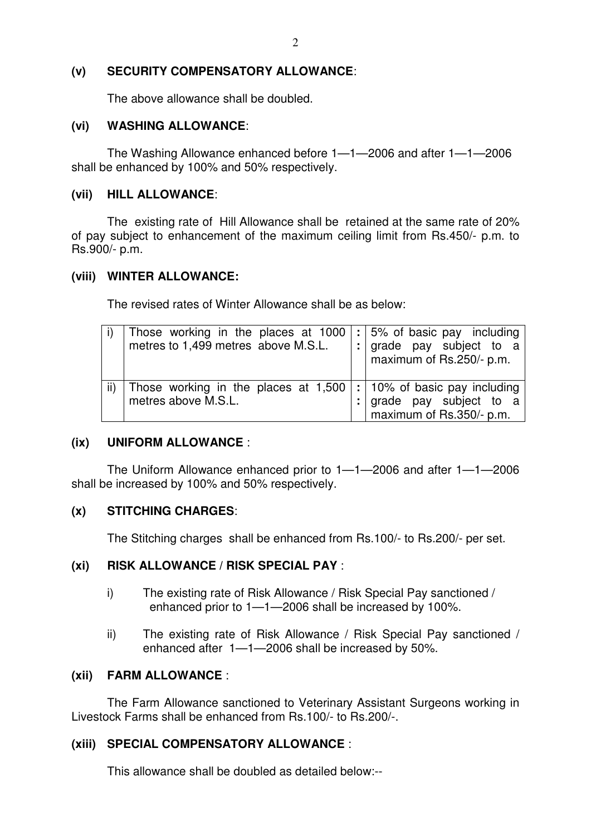#### **(v) SECURITY COMPENSATORY ALLOWANCE**:

The above allowance shall be doubled.

#### **(vi) WASHING ALLOWANCE**:

The Washing Allowance enhanced before 1—1—2006 and after 1—1—2006 shall be enhanced by 100% and 50% respectively.

#### **(vii) HILL ALLOWANCE**:

The existing rate of Hill Allowance shall be retained at the same rate of 20% of pay subject to enhancement of the maximum ceiling limit from Rs.450/- p.m. to Rs.900/- p.m.

#### **(viii) WINTER ALLOWANCE:**

The revised rates of Winter Allowance shall be as below:

| Those working in the places at 1000<br>metres to 1,499 metres above M.S.L. | $\vert$ : 5% of basic pay including<br>: grade pay subject to a<br>maximum of Rs.250/- p.m.    |
|----------------------------------------------------------------------------|------------------------------------------------------------------------------------------------|
| Those working in the places at 1,500<br>metres above M.S.L.                | $:$ 10% of basic pay including<br>: $\vert$ grade pay subject to a<br>maximum of Rs.350/- p.m. |

### **(ix) UNIFORM ALLOWANCE** :

The Uniform Allowance enhanced prior to 1—1—2006 and after 1—1—2006 shall be increased by 100% and 50% respectively.

### **(x) STITCHING CHARGES**:

The Stitching charges shall be enhanced from Rs.100/- to Rs.200/- per set.

### **(xi) RISK ALLOWANCE / RISK SPECIAL PAY** :

- i) The existing rate of Risk Allowance / Risk Special Pay sanctioned / enhanced prior to 1—1—2006 shall be increased by 100%.
- ii) The existing rate of Risk Allowance / Risk Special Pay sanctioned / enhanced after 1—1—2006 shall be increased by 50%.

### **(xii) FARM ALLOWANCE** :

The Farm Allowance sanctioned to Veterinary Assistant Surgeons working in Livestock Farms shall be enhanced from Rs.100/- to Rs.200/-.

### **(xiii) SPECIAL COMPENSATORY ALLOWANCE** :

This allowance shall be doubled as detailed below:--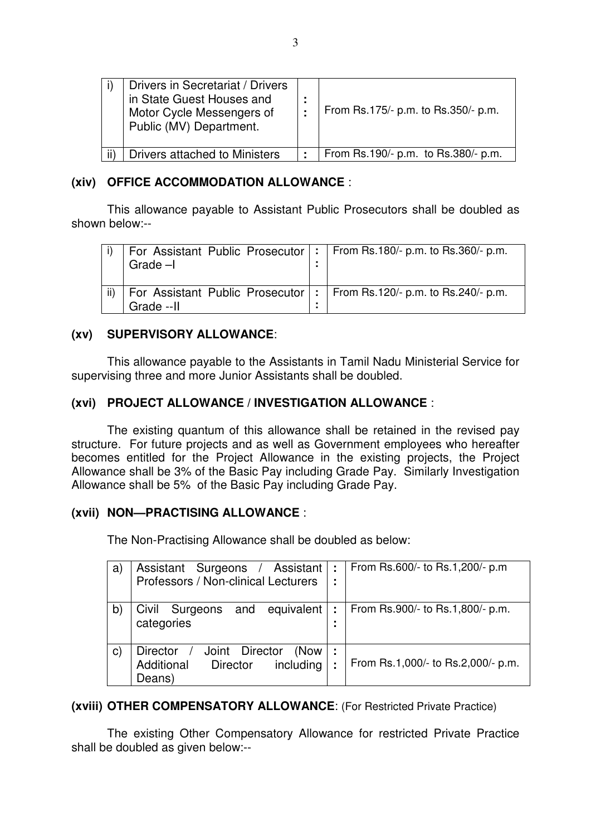| Drivers in Secretariat / Drivers<br>in State Guest Houses and<br>Motor Cycle Messengers of<br>Public (MV) Department. | From Rs.175/- p.m. to Rs.350/- p.m. |
|-----------------------------------------------------------------------------------------------------------------------|-------------------------------------|
| Drivers attached to Ministers                                                                                         | From Rs.190/- p.m. to Rs.380/- p.m. |

### **(xiv) OFFICE ACCOMMODATION ALLOWANCE** :

This allowance payable to Assistant Public Prosecutors shall be doubled as shown below:--

|     | For Assistant Public Prosecutor $ : $ From Rs.180/- p.m. to Rs.360/- p.m.<br>Grade $-I$ |  |
|-----|-----------------------------------------------------------------------------------------|--|
| ii) | For Assistant Public Prosecutor  :   From Rs.120/- p.m. to Rs.240/- p.m.<br>Grade -- II |  |

### **(xv) SUPERVISORY ALLOWANCE**:

This allowance payable to the Assistants in Tamil Nadu Ministerial Service for supervising three and more Junior Assistants shall be doubled.

## **(xvi) PROJECT ALLOWANCE / INVESTIGATION ALLOWANCE** :

The existing quantum of this allowance shall be retained in the revised pay structure. For future projects and as well as Government employees who hereafter becomes entitled for the Project Allowance in the existing projects, the Project Allowance shall be 3% of the Basic Pay including Grade Pay. Similarly Investigation Allowance shall be 5% of the Basic Pay including Grade Pay.

## **(xvii) NON—PRACTISING ALLOWANCE** :

The Non-Practising Allowance shall be doubled as below:

| a)           | Assistant Surgeons /<br>Assistant<br>Professors / Non-clinical Lecturers                             | ÷<br>٠<br>٠ | From Rs.600/- to Rs.1,200/- p.m.   |
|--------------|------------------------------------------------------------------------------------------------------|-------------|------------------------------------|
| $\mathsf{b}$ | Surgeons<br>Civil<br>equivalent<br>and<br>categories                                                 | ÷<br>٠<br>٠ | From Rs.900/- to Rs.1,800/- p.m.   |
| $\mathbf{C}$ | <b>Director</b><br>Director<br>Joint<br>(Now<br>Additional<br>including<br><b>Director</b><br>Deans) | ٠<br>٠<br>t | From Rs.1,000/- to Rs.2,000/- p.m. |

### **(xviii) OTHER COMPENSATORY ALLOWANCE**: (For Restricted Private Practice)

The existing Other Compensatory Allowance for restricted Private Practice shall be doubled as given below:--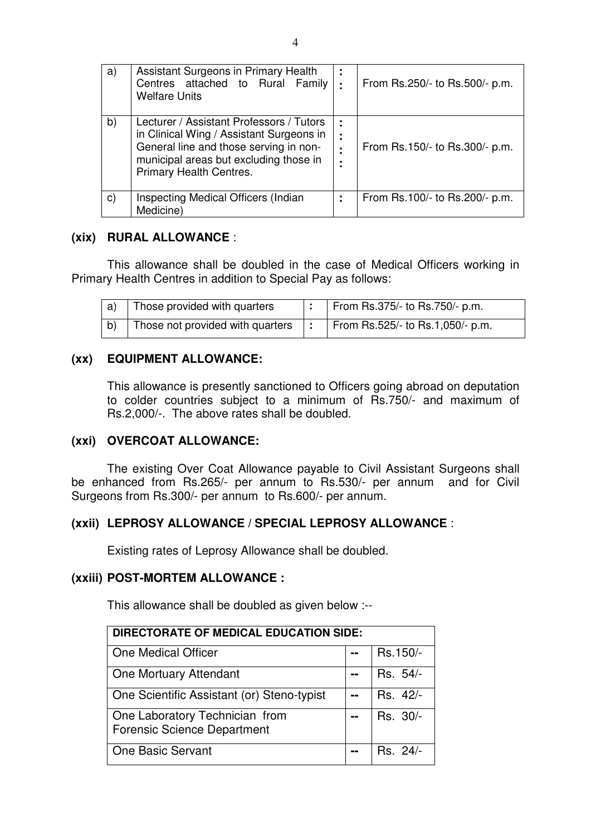| a)           | Assistant Surgeons in Primary Health<br>Centres attached to Rural Family<br><b>Welfare Units</b>                                                                                                    | ٠<br>٠<br>٠ | From Rs.250/- to Rs.500/- p.m. |
|--------------|-----------------------------------------------------------------------------------------------------------------------------------------------------------------------------------------------------|-------------|--------------------------------|
| b)           | Lecturer / Assistant Professors / Tutors<br>in Clinical Wing / Assistant Surgeons in<br>General line and those serving in non-<br>municipal areas but excluding those in<br>Primary Health Centres. | ÷<br>÷<br>٠ | From Rs.150/- to Rs.300/- p.m. |
| $\mathbf{C}$ | Inspecting Medical Officers (Indian<br>Medicine)                                                                                                                                                    | ٠           | From Rs.100/- to Rs.200/- p.m. |

### **(xix) RURAL ALLOWANCE** :

This allowance shall be doubled in the case of Medical Officers working in Primary Health Centres in addition to Special Pay as follows:

| a) | Those provided with quarters                                                          | From Rs.375/- to Rs.750/- p.m. |
|----|---------------------------------------------------------------------------------------|--------------------------------|
|    | Those not provided with quarters $\vert \cdot \vert$ From Rs.525/- to Rs.1,050/- p.m. |                                |

## **(xx) EQUIPMENT ALLOWANCE:**

This allowance is presently sanctioned to Officers going abroad on deputation to colder countries subject to a minimum of Rs.750/- and maximum of Rs.2,000/-. The above rates shall be doubled.

### **(xxi) OVERCOAT ALLOWANCE:**

The existing Over Coat Allowance payable to Civil Assistant Surgeons shall be enhanced from Rs.265/- per annum to Rs.530/- per annum and for Civil Surgeons from Rs.300/- per annum to Rs.600/- per annum.

### **(xxii) LEPROSY ALLOWANCE / SPECIAL LEPROSY ALLOWANCE** :

Existing rates of Leprosy Allowance shall be doubled.

### **(xxiii) POST-MORTEM ALLOWANCE :**

This allowance shall be doubled as given below :--

| <b>DIRECTORATE OF MEDICAL EDUCATION SIDE:</b>                        |    |          |  |  |  |
|----------------------------------------------------------------------|----|----------|--|--|--|
| One Medical Officer                                                  |    | Rs.150/- |  |  |  |
| One Mortuary Attendant                                               |    | Rs. 54/- |  |  |  |
| One Scientific Assistant (or) Steno-typist                           | -- | Rs. 42/- |  |  |  |
| One Laboratory Technician from<br><b>Forensic Science Department</b> | -- | Rs. 30/- |  |  |  |
| <b>One Basic Servant</b>                                             |    | Rs. 24/- |  |  |  |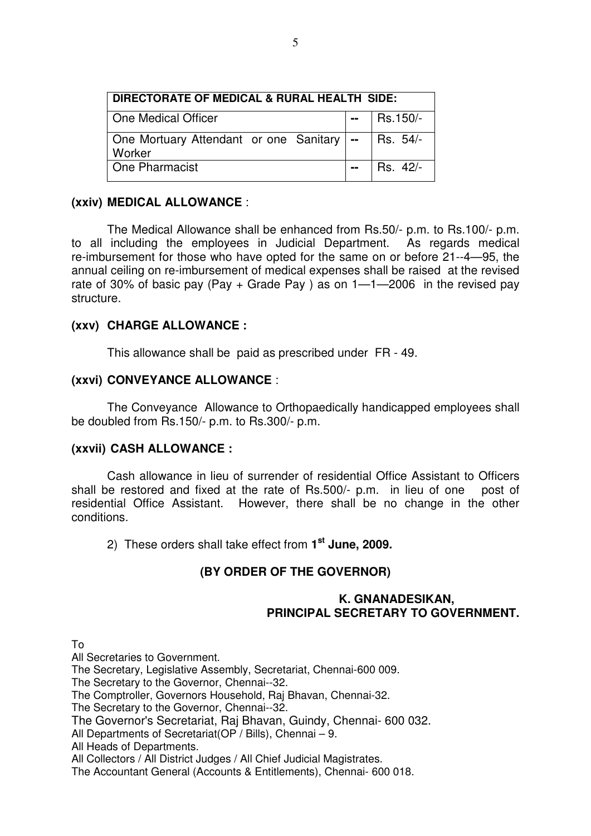| DIRECTORATE OF MEDICAL & RURAL HEALTH SIDE:                      |                  |              |  |  |
|------------------------------------------------------------------|------------------|--------------|--|--|
| One Medical Officer                                              |                  | $-$ Rs.150/- |  |  |
| One Mortuary Attendant or one Sanitary   --   Rs. 54/-<br>Worker |                  |              |  |  |
| One Pharmacist                                                   | $\mathbf{m} = 1$ | $ $ Rs. 42/- |  |  |

### **(xxiv) MEDICAL ALLOWANCE** :

The Medical Allowance shall be enhanced from Rs.50/- p.m. to Rs.100/- p.m. to all including the employees in Judicial Department. As regards medical re-imbursement for those who have opted for the same on or before 21--4—95, the annual ceiling on re-imbursement of medical expenses shall be raised at the revised rate of 30% of basic pay (Pay  $+$  Grade Pay) as on  $1 - 1 - 2006$  in the revised pay structure.

### **(xxv) CHARGE ALLOWANCE :**

This allowance shall be paid as prescribed under FR - 49.

#### **(xxvi) CONVEYANCE ALLOWANCE** :

The Conveyance Allowance to Orthopaedically handicapped employees shall be doubled from Rs.150/- p.m. to Rs.300/- p.m.

#### **(xxvii) CASH ALLOWANCE :**

Cash allowance in lieu of surrender of residential Office Assistant to Officers shall be restored and fixed at the rate of Rs.500/- p.m. in lieu of one post of residential Office Assistant. However, there shall be no change in the other conditions.

2) These orders shall take effect from **1st June, 2009.** 

## **(BY ORDER OF THE GOVERNOR)**

### **K. GNANADESIKAN, PRINCIPAL SECRETARY TO GOVERNMENT.**

To

All Secretaries to Government.

The Secretary, Legislative Assembly, Secretariat, Chennai-600 009.

The Secretary to the Governor, Chennai--32.

The Comptroller, Governors Household, Raj Bhavan, Chennai-32.

The Secretary to the Governor, Chennai--32.

The Governor's Secretariat, Raj Bhavan, Guindy, Chennai- 600 032.

All Departments of Secretariat(OP / Bills), Chennai – 9.

All Heads of Departments.

All Collectors / All District Judges / All Chief Judicial Magistrates.

The Accountant General (Accounts & Entitlements), Chennai- 600 018.